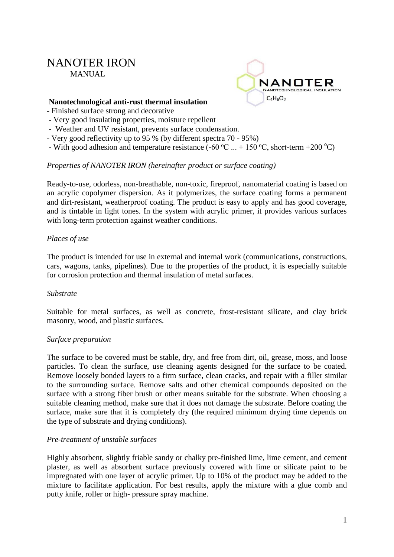# NANOTER IRON MANUAL



#### **Nanotechnological anti-rust thermal insulation**

- Finished surface strong and decorative
- Very good insulating properties, moisture repellent
- Weather and UV resistant, prevents surface condensation.
- Very good reflectivity up to 95 % (by different spectra 70 95%)
- With good adhesion and temperature resistance (-60  $^{\circ}$ C ... + 150  $^{\circ}$ C, short-term +200  $^{\circ}$ C)

# *Properties of NANOTER IRON (hereinafter product or surface coating)*

Ready-to-use, odorless, non-breathable, non-toxic, fireproof, nanomaterial coating is based on an acrylic copolymer dispersion. As it polymerizes, the surface coating forms a permanent and dirt-resistant, weatherproof coating. The product is easy to apply and has good coverage, and is tintable in light tones. In the system with acrylic primer, it provides various surfaces with long-term protection against weather conditions.

# *Places of use*

The product is intended for use in external and internal work (communications, constructions, cars, wagons, tanks, pipelines). Due to the properties of the product, it is especially suitable for corrosion protection and thermal insulation of metal surfaces.

#### *Substrate*

Suitable for metal surfaces, as well as concrete, frost-resistant silicate, and clay brick masonry, wood, and plastic surfaces.

#### *Surface preparation*

The surface to be covered must be stable, dry, and free from dirt, oil, grease, moss, and loose particles. To clean the surface, use cleaning agents designed for the surface to be coated. Remove loosely bonded layers to a firm surface, clean cracks, and repair with a filler similar to the surrounding surface. Remove salts and other chemical compounds deposited on the surface with a strong fiber brush or other means suitable for the substrate. When choosing a suitable cleaning method, make sure that it does not damage the substrate. Before coating the surface, make sure that it is completely dry (the required minimum drying time depends on the type of substrate and drying conditions).

#### *Pre-treatment of unstable surfaces*

Highly absorbent, slightly friable sandy or chalky pre-finished lime, lime cement, and cement plaster, as well as absorbent surface previously covered with lime or silicate paint to be impregnated with one layer of acrylic primer. Up to 10% of the product may be added to the mixture to facilitate application. For best results, apply the mixture with a glue comb and putty knife, roller or high- pressure spray machine.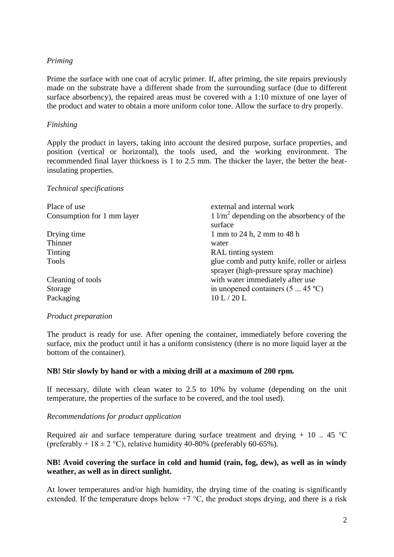# *Priming*

Prime the surface with one coat of acrylic primer. If, after priming, the site repairs previously made on the substrate have a different shade from the surrounding surface (due to different surface absorbency), the repaired areas must be covered with a 1:10 mixture of one layer of the product and water to obtain a more uniform color tone. Allow the surface to dry properly.

# *Finishing*

Apply the product in layers, taking into account the desired purpose, surface properties, and position (vertical or horizontal), the tools used, and the working environment. The recommended final layer thickness is 1 to 2.5 mm. The thicker the layer, the better the heatinsulating properties.

#### *Technical specifications*

| Place of use               | external and internal work                                                            |
|----------------------------|---------------------------------------------------------------------------------------|
| Consumption for 1 mm layer | $1 \frac{\text{m}^2}{\text{m}^2}$ depending on the absorbency of the<br>surface       |
| Drying time                | 1 mm to 24 h, 2 mm to 48 h                                                            |
| Thinner                    | water                                                                                 |
| Tinting                    | RAL tinting system                                                                    |
| <b>Tools</b>               | glue comb and putty knife, roller or airless<br>sprayer (high-pressure spray machine) |
| Cleaning of tools          | with water immediately after use                                                      |
| Storage                    | in unopened containers $(5 \dots 45 \degree C)$                                       |
| Packaging                  | 10 L/20 L                                                                             |

#### *Product preparation*

The product is ready for use. After opening the container, immediately before covering the surface, mix the product until it has a uniform consistency (there is no more liquid layer at the bottom of the container).

#### **NB! Stir slowly by hand or with a mixing drill at a maximum of 200 rpm.**

If necessary, dilute with clean water to 2.5 to 10% by volume (depending on the unit temperature, the properties of the surface to be covered, and the tool used).

#### *Recommendations for product application*

Required air and surface temperature during surface treatment and drying  $+ 10$ . 45 °C (preferably +  $18 \pm 2$  °C), relative humidity 40-80% (preferably 60-65%).

# **NB! Avoid covering the surface in cold and humid (rain, fog, dew), as well as in windy weather, as well as in direct sunlight.**

At lower temperatures and/or high humidity, the drying time of the coating is significantly extended. If the temperature drops below  $+7$  °C, the product stops drying, and there is a risk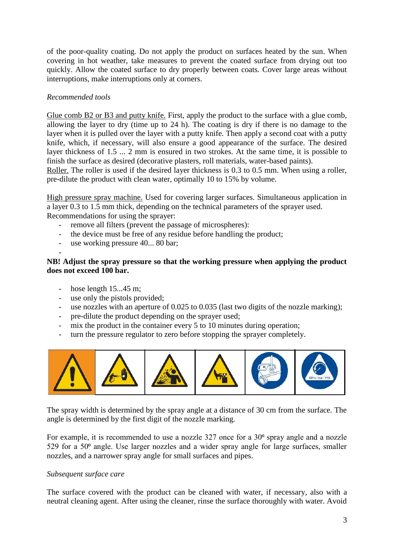of the poor-quality coating. Do not apply the product on surfaces heated by the sun. When covering in hot weather, take measures to prevent the coated surface from drying out too quickly. Allow the coated surface to dry properly between coats. Cover large areas without interruptions, make interruptions only at corners.

# *Recommended tools*

Glue comb B2 or B3 and putty knife. First, apply the product to the surface with a glue comb, allowing the layer to dry (time up to 24 h). The coating is dry if there is no damage to the layer when it is pulled over the layer with a putty knife. Then apply a second coat with a putty knife, which, if necessary, will also ensure a good appearance of the surface. The desired layer thickness of 1.5 ... 2 mm is ensured in two strokes. At the same time, it is possible to finish the surface as desired (decorative plasters, roll materials, water-based paints).

Roller. The roller is used if the desired layer thickness is 0.3 to 0.5 mm. When using a roller, pre-dilute the product with clean water, optimally 10 to 15% by volume.

High pressure spray machine. Used for covering larger surfaces. Simultaneous application in a layer 0.3 to 1.5 mm thick, depending on the technical parameters of the sprayer used. Recommendations for using the sprayer:

- remove all filters (prevent the passage of microspheres):

- the device must be free of any residue before handling the product;
- use working pressure 40... 80 bar:

# -

# **NB! Adjust the spray pressure so that the working pressure when applying the product does not exceed 100 bar.**

- hose length 15...45 m;
- use only the pistols provided;
- use nozzles with an aperture of  $0.025$  to  $0.035$  (last two digits of the nozzle marking);
- pre-dilute the product depending on the sprayer used;
- mix the product in the container every 5 to 10 minutes during operation;
- turn the pressure regulator to zero before stopping the sprayer completely.



The spray width is determined by the spray angle at a distance of 30 cm from the surface. The angle is determined by the first digit of the nozzle marking.

For example, it is recommended to use a nozzle  $327$  once for a  $30^{\circ}$  spray angle and a nozzle 529 for a  $50<sup>o</sup>$  angle. Use larger nozzles and a wider spray angle for large surfaces, smaller nozzles, and a narrower spray angle for small surfaces and pipes.

# *Subsequent surface care*

The surface covered with the product can be cleaned with water, if necessary, also with a neutral cleaning agent. After using the cleaner, rinse the surface thoroughly with water. Avoid